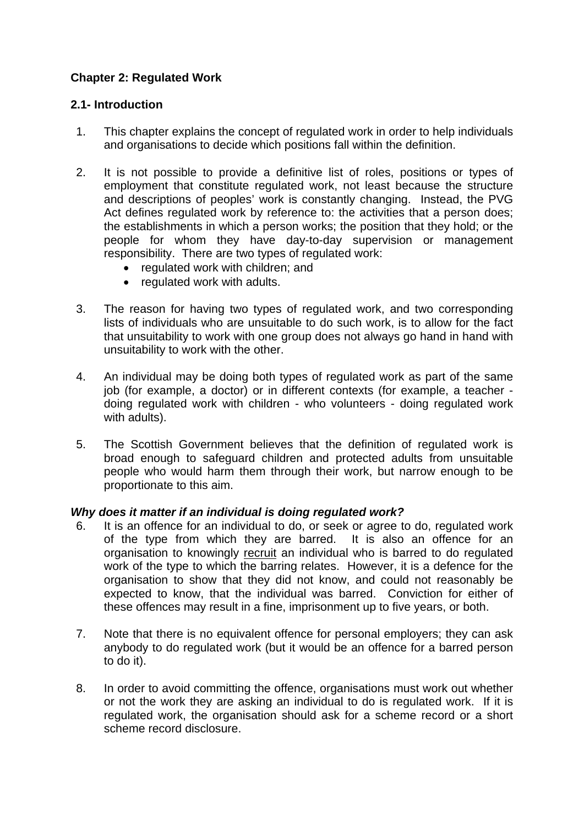# **Chapter 2: Regulated Work**

### **2.1- Introduction**

- 1. This chapter explains the concept of regulated work in order to help individuals and organisations to decide which positions fall within the definition.
- 2. It is not possible to provide a definitive list of roles, positions or types of employment that constitute regulated work, not least because the structure and descriptions of peoples' work is constantly changing. Instead, the PVG Act defines regulated work by reference to: the activities that a person does; the establishments in which a person works; the position that they hold; or the people for whom they have day-to-day supervision or management responsibility. There are two types of regulated work:
	- regulated work with children; and
	- regulated work with adults.
- 3. The reason for having two types of regulated work, and two corresponding lists of individuals who are unsuitable to do such work, is to allow for the fact that unsuitability to work with one group does not always go hand in hand with unsuitability to work with the other.
- 4. An individual may be doing both types of regulated work as part of the same job (for example, a doctor) or in different contexts (for example, a teacher doing regulated work with children - who volunteers - doing regulated work with adults).
- 5. The Scottish Government believes that the definition of regulated work is broad enough to safeguard children and protected adults from unsuitable people who would harm them through their work, but narrow enough to be proportionate to this aim.

#### *Why does it matter if an individual is doing regulated work?*

- 6. It is an offence for an individual to do, or seek or agree to do, regulated work of the type from which they are barred. It is also an offence for an organisation to knowingly recruit an individual who is barred to do regulated work of the type to which the barring relates. However, it is a defence for the organisation to show that they did not know, and could not reasonably be expected to know, that the individual was barred. Conviction for either of these offences may result in a fine, imprisonment up to five years, or both.
- 7. Note that there is no equivalent offence for personal employers; they can ask anybody to do regulated work (but it would be an offence for a barred person to do it).
- 8. In order to avoid committing the offence, organisations must work out whether or not the work they are asking an individual to do is regulated work. If it is regulated work, the organisation should ask for a scheme record or a short scheme record disclosure.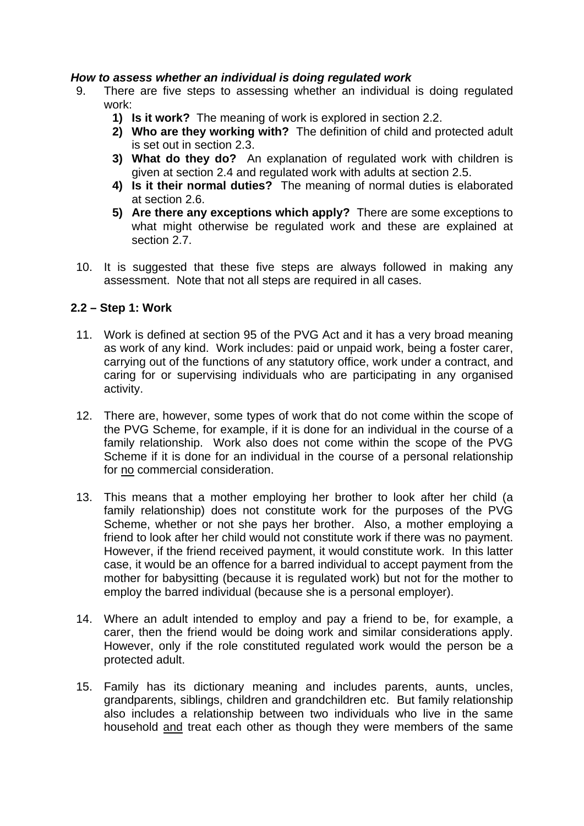#### *How to assess whether an individual is doing regulated work*

- 9. There are five steps to assessing whether an individual is doing regulated work:
	- **1) Is it work?** The meaning of work is explored in section 2.2.
	- **2) Who are they working with?** The definition of child and protected adult is set out in section 2.3.
	- **3) What do they do?** An explanation of regulated work with children is given at section 2.4 and regulated work with adults at section 2.5.
	- **4) Is it their normal duties?** The meaning of normal duties is elaborated at section 2.6.
	- **5) Are there any exceptions which apply?** There are some exceptions to what might otherwise be regulated work and these are explained at section 2.7.
- 10. It is suggested that these five steps are always followed in making any assessment. Note that not all steps are required in all cases.

### **2.2 – Step 1: Work**

- 11. Work is defined at section 95 of the PVG Act and it has a very broad meaning as work of any kind. Work includes: paid or unpaid work, being a foster carer, carrying out of the functions of any statutory office, work under a contract, and caring for or supervising individuals who are participating in any organised activity.
- 12. There are, however, some types of work that do not come within the scope of the PVG Scheme, for example, if it is done for an individual in the course of a family relationship. Work also does not come within the scope of the PVG Scheme if it is done for an individual in the course of a personal relationship for no commercial consideration.
- 13. This means that a mother employing her brother to look after her child (a family relationship) does not constitute work for the purposes of the PVG Scheme, whether or not she pays her brother. Also, a mother employing a friend to look after her child would not constitute work if there was no payment. However, if the friend received payment, it would constitute work. In this latter case, it would be an offence for a barred individual to accept payment from the mother for babysitting (because it is regulated work) but not for the mother to employ the barred individual (because she is a personal employer).
- 14. Where an adult intended to employ and pay a friend to be, for example, a carer, then the friend would be doing work and similar considerations apply. However, only if the role constituted regulated work would the person be a protected adult.
- 15. Family has its dictionary meaning and includes parents, aunts, uncles, grandparents, siblings, children and grandchildren etc. But family relationship also includes a relationship between two individuals who live in the same household and treat each other as though they were members of the same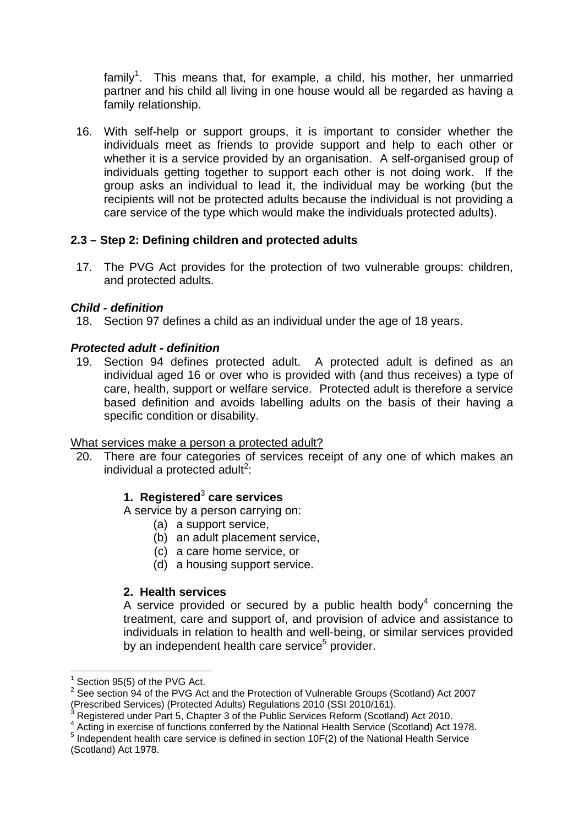family<sup>1</sup>. This means that, for example, a child, his mother, her unmarried partner and his child all living in one house would all be regarded as having a family relationship.

16. With self-help or support groups, it is important to consider whether the individuals meet as friends to provide support and help to each other or whether it is a service provided by an organisation. A self-organised group of individuals getting together to support each other is not doing work. If the group asks an individual to lead it, the individual may be working (but the recipients will not be protected adults because the individual is not providing a care service of the type which would make the individuals protected adults).

## **2.3 – Step 2: Defining children and protected adults**

17. The PVG Act provides for the protection of two vulnerable groups: children, and protected adults.

## *Child - definition*

18. Section 97 defines a child as an individual under the age of 18 years.

### *Protected adult - definition*

19. Section 94 defines protected adult. A protected adult is defined as an individual aged 16 or over who is provided with (and thus receives) a type of care, health, support or welfare service. Protected adult is therefore a service based definition and avoids labelling adults on the basis of their having a specific condition or disability.

#### What services make a person a protected adult?

20. There are four categories of services receipt of any one of which makes an individual a protected adult<sup>2</sup>:

# **1. Registered**<sup>3</sup>  **care services**

A service by a person carrying on:

- (a) a support service,
- (b) an adult placement service,
- (c) a care home service, or
- (d) a housing support service.

#### **2. Health services**

A service provided or secured by a public health body<sup>4</sup> concerning the treatment, care and support of, and provision of advice and assistance to individuals in relation to health and well-being, or similar services provided by an independent health care service<sup>5</sup> provider.

1

<sup>1</sup> Section 95(5) of the PVG Act.

 $2$  See section 94 of the PVG Act and the Protection of Vulnerable Groups (Scotland) Act 2007 (Prescribed Services) (Protected Adults) Regulations 2010 (SSI 2010/161).<br><sup>3</sup> Registered under Part 5. Chapter 3 of the Public Services Reform (Scotland) Act 2010.

<sup>&</sup>lt;sup>3</sup> Registered under Part 5, Chapter 3 of the Public Services Reform (Scotland) Act 2010.<br><sup>4</sup> Acting in exercise of functions conferred by the National Health Service (Sectland) Act *i* 

 $^4$  Acting in exercise of functions conferred by the National Health Service (Scotland) Act 1978.<br>5 Independent bealth care service is defined in eastion 10F(2) of the National Health Service.

<sup>&</sup>lt;sup>5</sup> Independent health care service is defined in section 10F(2) of the National Health Service (Scotland) Act 1978.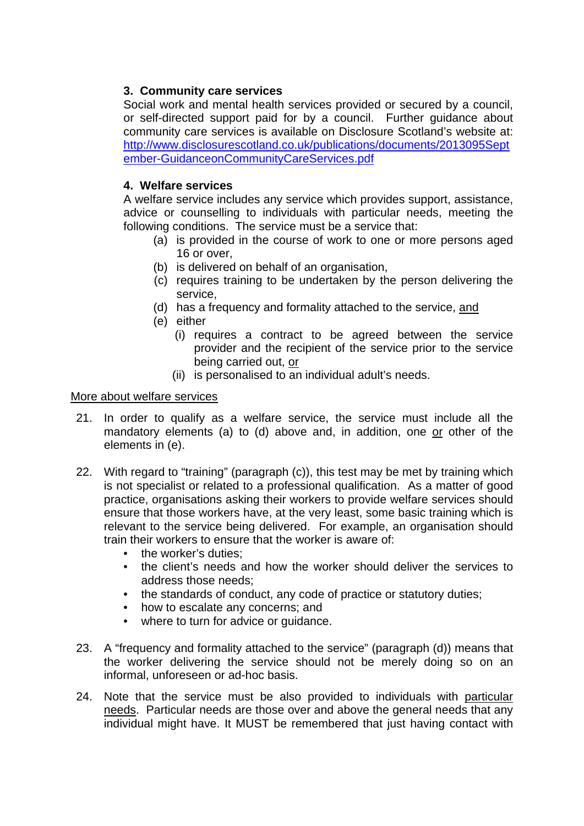## **3. Community care services**

Social work and mental health services provided or secured by a council, or self-directed support paid for by a council. Further guidance about community care services is available on Disclosure Scotland's website at: http://www.disclosurescotland.co.uk/publications/documents/2013095Sept ember-GuidanceonCommunityCareServices.pdf

### **4. Welfare services**

A welfare service includes any service which provides support, assistance, advice or counselling to individuals with particular needs, meeting the following conditions. The service must be a service that:

- (a) is provided in the course of work to one or more persons aged 16 or over,
- (b) is delivered on behalf of an organisation,
- (c) requires training to be undertaken by the person delivering the service,
- (d) has a frequency and formality attached to the service, and
- (e) either
	- (i) requires a contract to be agreed between the service provider and the recipient of the service prior to the service being carried out, or
	- (ii) is personalised to an individual adult's needs.

#### More about welfare services

- 21. In order to qualify as a welfare service, the service must include all the mandatory elements (a) to (d) above and, in addition, one or other of the elements in (e).
- 22. With regard to "training" (paragraph (c)), this test may be met by training which is not specialist or related to a professional qualification. As a matter of good practice, organisations asking their workers to provide welfare services should ensure that those workers have, at the very least, some basic training which is relevant to the service being delivered. For example, an organisation should train their workers to ensure that the worker is aware of:
	- the worker's duties:
	- the client's needs and how the worker should deliver the services to address those needs;
	- the standards of conduct, any code of practice or statutory duties;
	- how to escalate any concerns; and
	- where to turn for advice or guidance.
- 23. A "frequency and formality attached to the service" (paragraph (d)) means that the worker delivering the service should not be merely doing so on an informal, unforeseen or ad-hoc basis.
- 24. Note that the service must be also provided to individuals with particular needs. Particular needs are those over and above the general needs that any individual might have. It MUST be remembered that just having contact with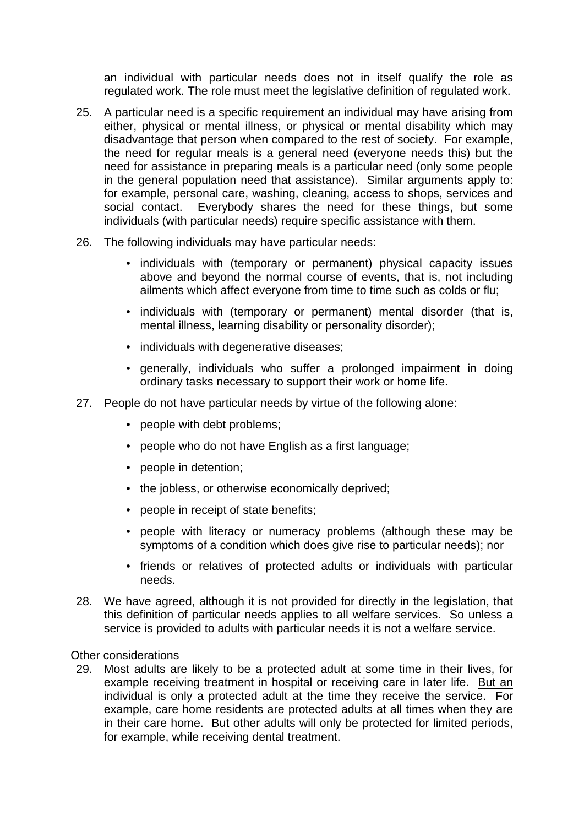an individual with particular needs does not in itself qualify the role as regulated work. The role must meet the legislative definition of regulated work.

- 25. A particular need is a specific requirement an individual may have arising from either, physical or mental illness, or physical or mental disability which may disadvantage that person when compared to the rest of society. For example, the need for regular meals is a general need (everyone needs this) but the need for assistance in preparing meals is a particular need (only some people in the general population need that assistance). Similar arguments apply to: for example, personal care, washing, cleaning, access to shops, services and social contact. Everybody shares the need for these things, but some individuals (with particular needs) require specific assistance with them.
- 26. The following individuals may have particular needs:
	- individuals with (temporary or permanent) physical capacity issues above and beyond the normal course of events, that is, not including ailments which affect everyone from time to time such as colds or flu;
	- individuals with (temporary or permanent) mental disorder (that is, mental illness, learning disability or personality disorder);
	- individuals with degenerative diseases;
	- generally, individuals who suffer a prolonged impairment in doing ordinary tasks necessary to support their work or home life.
- 27. People do not have particular needs by virtue of the following alone:
	- people with debt problems;
	- people who do not have English as a first language;
	- people in detention;
	- the jobless, or otherwise economically deprived;
	- people in receipt of state benefits;
	- people with literacy or numeracy problems (although these may be symptoms of a condition which does give rise to particular needs); nor
	- friends or relatives of protected adults or individuals with particular needs.
- 28. We have agreed, although it is not provided for directly in the legislation, that this definition of particular needs applies to all welfare services. So unless a service is provided to adults with particular needs it is not a welfare service.

#### Other considerations

29. Most adults are likely to be a protected adult at some time in their lives, for example receiving treatment in hospital or receiving care in later life. But an individual is only a protected adult at the time they receive the service. For example, care home residents are protected adults at all times when they are in their care home. But other adults will only be protected for limited periods, for example, while receiving dental treatment.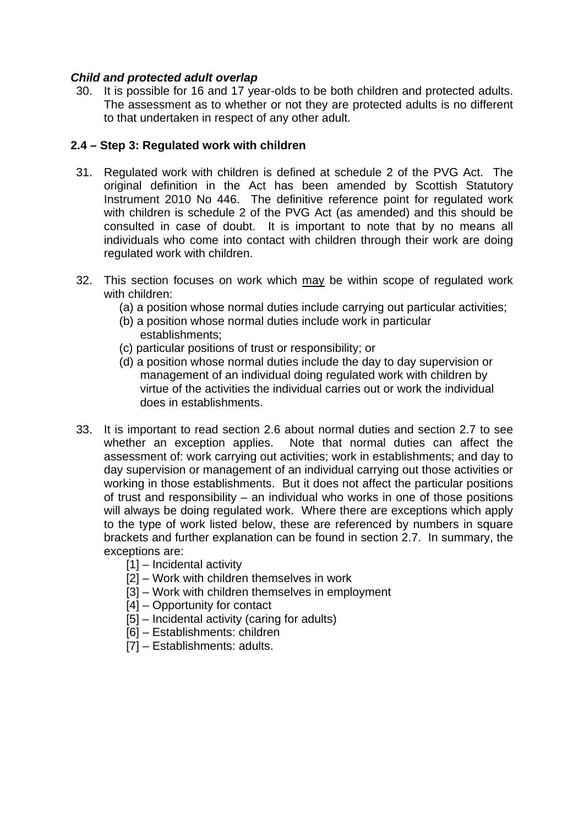#### *Child and protected adult overlap*

30. It is possible for 16 and 17 year-olds to be both children and protected adults. The assessment as to whether or not they are protected adults is no different to that undertaken in respect of any other adult.

### **2.4 – Step 3: Regulated work with children**

- 31. Regulated work with children is defined at schedule 2 of the PVG Act. The original definition in the Act has been amended by Scottish Statutory Instrument 2010 No 446. The definitive reference point for regulated work with children is schedule 2 of the PVG Act (as amended) and this should be consulted in case of doubt. It is important to note that by no means all individuals who come into contact with children through their work are doing regulated work with children.
- 32. This section focuses on work which may be within scope of regulated work with children:
	- (a) a position whose normal duties include carrying out particular activities;
	- (b) a position whose normal duties include work in particular establishments;
	- (c) particular positions of trust or responsibility; or
	- (d) a position whose normal duties include the day to day supervision or management of an individual doing regulated work with children by virtue of the activities the individual carries out or work the individual does in establishments.
- 33. It is important to read section 2.6 about normal duties and section 2.7 to see whether an exception applies. Note that normal duties can affect the assessment of: work carrying out activities; work in establishments; and day to day supervision or management of an individual carrying out those activities or working in those establishments. But it does not affect the particular positions of trust and responsibility – an individual who works in one of those positions will always be doing regulated work. Where there are exceptions which apply to the type of work listed below, these are referenced by numbers in square brackets and further explanation can be found in section 2.7. In summary, the exceptions are:
	- [1] Incidental activity
	- [2] Work with children themselves in work
	- [3] Work with children themselves in employment
	- [4] Opportunity for contact
	- [5] Incidental activity (caring for adults)
	- [6] Establishments: children
	- [7] Establishments: adults.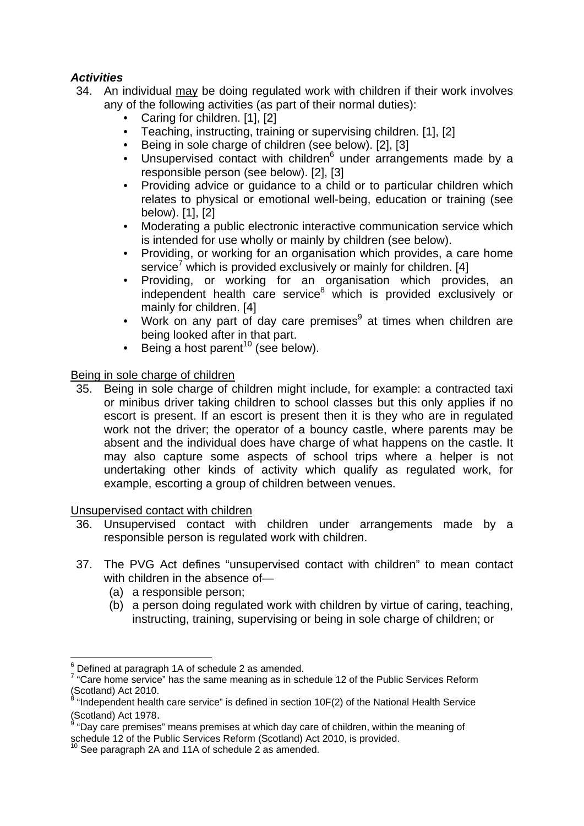# *Activities*

- 34. An individual may be doing regulated work with children if their work involves any of the following activities (as part of their normal duties):
	- Caring for children. [1], [2]
	- Teaching, instructing, training or supervising children. [1], [2]
	- Being in sole charge of children (see below). [2], [3]
	- $\bullet$  Unsupervised contact with children $\frac{1}{6}$  under arrangements made by a responsible person (see below). [2], [3]
	- Providing advice or guidance to a child or to particular children which relates to physical or emotional well-being, education or training (see below). [1], [2]
	- Moderating a public electronic interactive communication service which is intended for use wholly or mainly by children (see below).
	- Providing, or working for an organisation which provides, a care home service<sup>7</sup> which is provided exclusively or mainly for children. [4]
	- Providing, or working for an organisation which provides, an independent health care service<sup>8</sup> which is provided exclusively or mainly for children. [4]
	- Work on any part of day care premises<sup>9</sup> at times when children are being looked after in that part.
	- Being a host parent<sup>10</sup> (see below).

# Being in sole charge of children

35. Being in sole charge of children might include, for example: a contracted taxi or minibus driver taking children to school classes but this only applies if no escort is present. If an escort is present then it is they who are in regulated work not the driver; the operator of a bouncy castle, where parents may be absent and the individual does have charge of what happens on the castle. It may also capture some aspects of school trips where a helper is not undertaking other kinds of activity which qualify as regulated work, for example, escorting a group of children between venues.

Unsupervised contact with children

- 36. Unsupervised contact with children under arrangements made by a responsible person is regulated work with children.
- 37. The PVG Act defines "unsupervised contact with children" to mean contact with children in the absence of—
	- (a) a responsible person;
	- (b) a person doing regulated work with children by virtue of caring, teaching, instructing, training, supervising or being in sole charge of children; or

 $\overline{\phantom{a}}$  $6$  Defined at paragraph 1A of schedule 2 as amended.

 $7$  "Care home service" has the same meaning as in schedule 12 of the Public Services Reform (Scotland) Act 2010.<br><sup>8</sup> "Independent health care service" is defined in section 10F(2) of the National Health Service

<sup>(</sup>Scotland) Act 1978<mark>.</mark><br><sup>9</sup> "Day care premises" means premises at which day care of children, within the meaning of schedule 12 of the Public Services Reform (Scotland) Act 2010, is provided.<br><sup>10</sup> See paragraph 2A and 11A of schedule 2 as amended.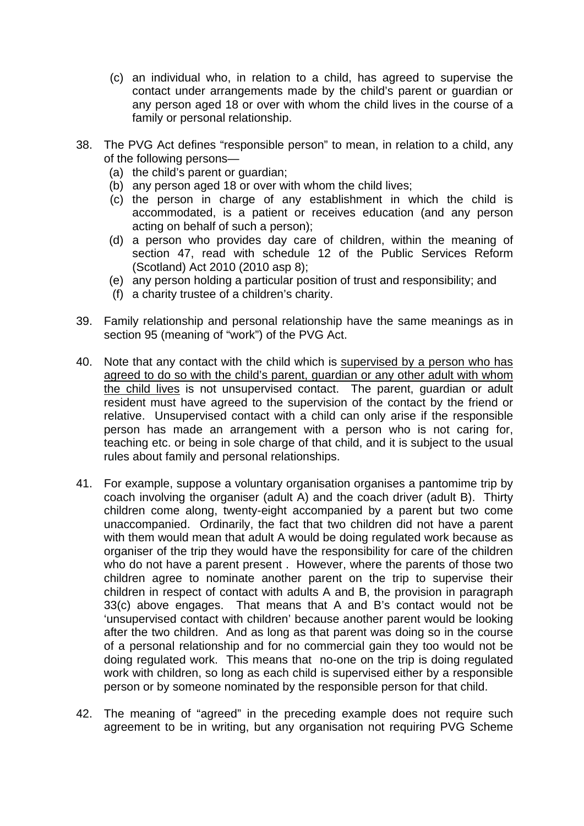- (c) an individual who, in relation to a child, has agreed to supervise the contact under arrangements made by the child's parent or guardian or any person aged 18 or over with whom the child lives in the course of a family or personal relationship.
- 38. The PVG Act defines "responsible person" to mean, in relation to a child, any of the following persons—
	- (a) the child's parent or guardian;
	- (b) any person aged 18 or over with whom the child lives;
	- (c) the person in charge of any establishment in which the child is accommodated, is a patient or receives education (and any person acting on behalf of such a person);
	- (d) a person who provides day care of children, within the meaning of section 47, read with schedule 12 of the Public Services Reform (Scotland) Act 2010 (2010 asp 8);
	- (e) any person holding a particular position of trust and responsibility; and
	- (f) a charity trustee of a children's charity.
- 39. Family relationship and personal relationship have the same meanings as in section 95 (meaning of "work") of the PVG Act.
- 40. Note that any contact with the child which is supervised by a person who has agreed to do so with the child's parent, guardian or any other adult with whom the child lives is not unsupervised contact. The parent, guardian or adult resident must have agreed to the supervision of the contact by the friend or relative. Unsupervised contact with a child can only arise if the responsible person has made an arrangement with a person who is not caring for, teaching etc. or being in sole charge of that child, and it is subject to the usual rules about family and personal relationships.
- 41. For example, suppose a voluntary organisation organises a pantomime trip by coach involving the organiser (adult A) and the coach driver (adult B). Thirty children come along, twenty-eight accompanied by a parent but two come unaccompanied. Ordinarily, the fact that two children did not have a parent with them would mean that adult A would be doing regulated work because as organiser of the trip they would have the responsibility for care of the children who do not have a parent present . However, where the parents of those two children agree to nominate another parent on the trip to supervise their children in respect of contact with adults A and B, the provision in paragraph 33(c) above engages. That means that A and B's contact would not be 'unsupervised contact with children' because another parent would be looking after the two children. And as long as that parent was doing so in the course of a personal relationship and for no commercial gain they too would not be doing regulated work. This means that no-one on the trip is doing regulated work with children, so long as each child is supervised either by a responsible person or by someone nominated by the responsible person for that child.
- 42. The meaning of "agreed" in the preceding example does not require such agreement to be in writing, but any organisation not requiring PVG Scheme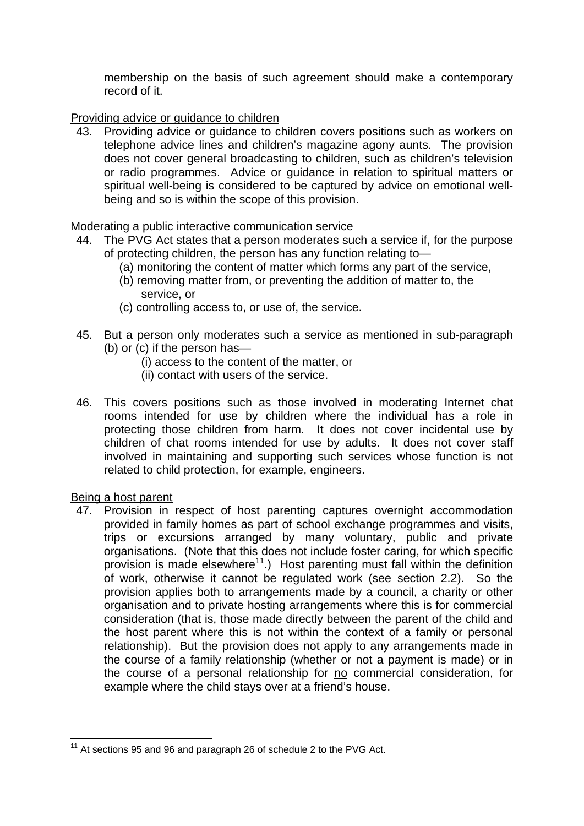membership on the basis of such agreement should make a contemporary record of it.

Providing advice or guidance to children

43. Providing advice or guidance to children covers positions such as workers on telephone advice lines and children's magazine agony aunts. The provision does not cover general broadcasting to children, such as children's television or radio programmes. Advice or guidance in relation to spiritual matters or spiritual well-being is considered to be captured by advice on emotional wellbeing and so is within the scope of this provision.

#### Moderating a public interactive communication service

- 44. The PVG Act states that a person moderates such a service if, for the purpose of protecting children, the person has any function relating to—
	- (a) monitoring the content of matter which forms any part of the service,
	- (b) removing matter from, or preventing the addition of matter to, the service, or
	- (c) controlling access to, or use of, the service.
- 45. But a person only moderates such a service as mentioned in sub-paragraph (b) or (c) if the person has—
	- (i) access to the content of the matter, or
	- (ii) contact with users of the service.
- 46. This covers positions such as those involved in moderating Internet chat rooms intended for use by children where the individual has a role in protecting those children from harm. It does not cover incidental use by children of chat rooms intended for use by adults. It does not cover staff involved in maintaining and supporting such services whose function is not related to child protection, for example, engineers.

#### Being a host parent

1

47. Provision in respect of host parenting captures overnight accommodation provided in family homes as part of school exchange programmes and visits, trips or excursions arranged by many voluntary, public and private organisations. (Note that this does not include foster caring, for which specific provision is made elsewhere<sup>11</sup>.) Host parenting must fall within the definition of work, otherwise it cannot be regulated work (see section 2.2). So the provision applies both to arrangements made by a council, a charity or other organisation and to private hosting arrangements where this is for commercial consideration (that is, those made directly between the parent of the child and the host parent where this is not within the context of a family or personal relationship). But the provision does not apply to any arrangements made in the course of a family relationship (whether or not a payment is made) or in the course of a personal relationship for no commercial consideration, for example where the child stays over at a friend's house.

 $11$  At sections 95 and 96 and paragraph 26 of schedule 2 to the PVG Act.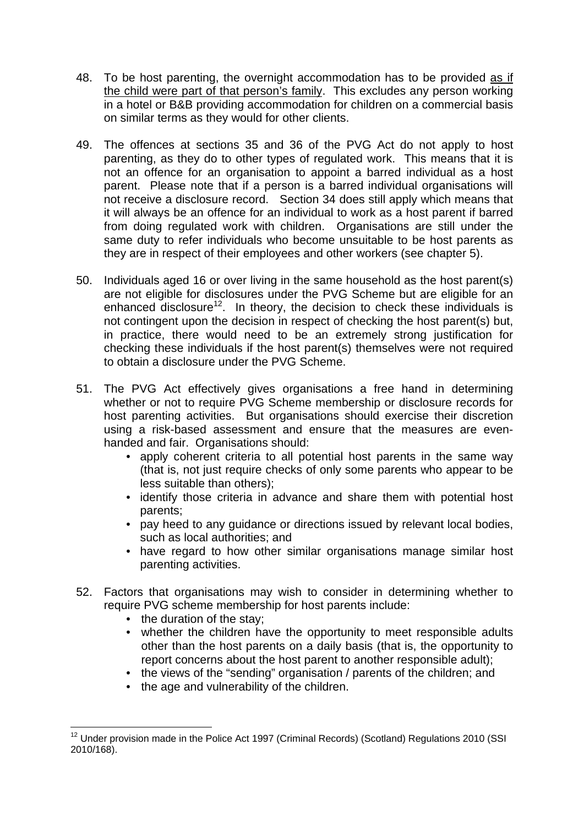- 48. To be host parenting, the overnight accommodation has to be provided as if the child were part of that person's family. This excludes any person working in a hotel or B&B providing accommodation for children on a commercial basis on similar terms as they would for other clients.
- 49. The offences at sections 35 and 36 of the PVG Act do not apply to host parenting, as they do to other types of regulated work. This means that it is not an offence for an organisation to appoint a barred individual as a host parent. Please note that if a person is a barred individual organisations will not receive a disclosure record. Section 34 does still apply which means that it will always be an offence for an individual to work as a host parent if barred from doing regulated work with children. Organisations are still under the same duty to refer individuals who become unsuitable to be host parents as they are in respect of their employees and other workers (see chapter 5).
- 50. Individuals aged 16 or over living in the same household as the host parent(s) are not eligible for disclosures under the PVG Scheme but are eligible for an enhanced disclosure<sup>12</sup>. In theory, the decision to check these individuals is not contingent upon the decision in respect of checking the host parent(s) but, in practice, there would need to be an extremely strong justification for checking these individuals if the host parent(s) themselves were not required to obtain a disclosure under the PVG Scheme.
- 51. The PVG Act effectively gives organisations a free hand in determining whether or not to require PVG Scheme membership or disclosure records for host parenting activities. But organisations should exercise their discretion using a risk-based assessment and ensure that the measures are evenhanded and fair. Organisations should:
	- apply coherent criteria to all potential host parents in the same way (that is, not just require checks of only some parents who appear to be less suitable than others);
	- identify those criteria in advance and share them with potential host parents;
	- pay heed to any guidance or directions issued by relevant local bodies, such as local authorities; and
	- have regard to how other similar organisations manage similar host parenting activities.
- 52. Factors that organisations may wish to consider in determining whether to require PVG scheme membership for host parents include:
	- the duration of the stay:
	- whether the children have the opportunity to meet responsible adults other than the host parents on a daily basis (that is, the opportunity to report concerns about the host parent to another responsible adult);
	- the views of the "sending" organisation / parents of the children; and
	- the age and vulnerability of the children.

<sup>&</sup>lt;u>.</u> <sup>12</sup> Under provision made in the Police Act 1997 (Criminal Records) (Scotland) Regulations 2010 (SSI 2010/168).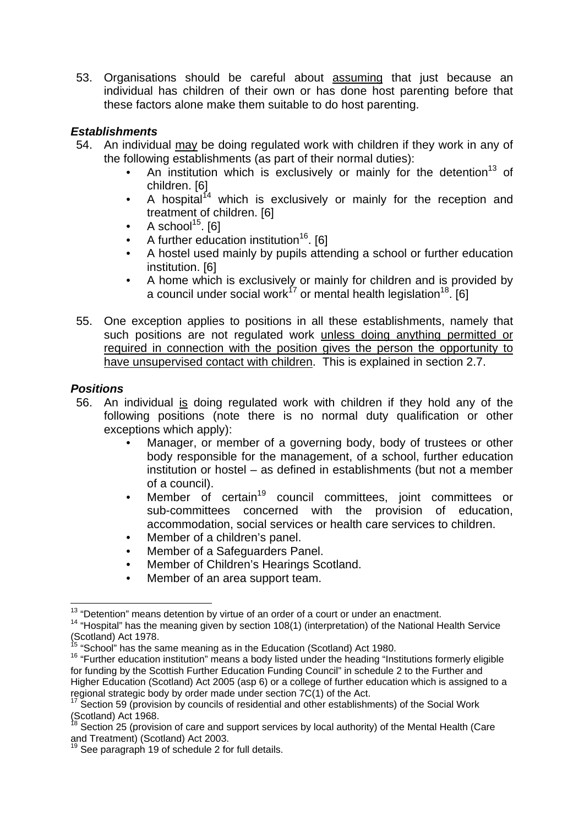53. Organisations should be careful about assuming that just because an individual has children of their own or has done host parenting before that these factors alone make them suitable to do host parenting.

### *Establishments*

- 54. An individual may be doing regulated work with children if they work in any of the following establishments (as part of their normal duties):
	- An institution which is exclusively or mainly for the detention<sup>13</sup> of children. [6]
	- A hospital<sup>14</sup> which is exclusively or mainly for the reception and treatment of children. [6]
	- A school $15$ . [6]
	- A further education institution<sup>16</sup>. [6]
	- A hostel used mainly by pupils attending a school or further education institution. [6]
	- A home which is exclusively or mainly for children and is provided by a council under social work<sup>17</sup> or mental health legislation<sup>18</sup>. [6]
- 55. One exception applies to positions in all these establishments, namely that such positions are not regulated work unless doing anything permitted or required in connection with the position gives the person the opportunity to have unsupervised contact with children. This is explained in section 2.7.

#### *Positions*

- 56. An individual is doing regulated work with children if they hold any of the following positions (note there is no normal duty qualification or other exceptions which apply):
	- Manager, or member of a governing body, body of trustees or other body responsible for the management, of a school, further education institution or hostel – as defined in establishments (but not a member of a council).
	- Member of certain<sup>19</sup> council committees, joint committees or sub-committees concerned with the provision of education, accommodation, social services or health care services to children.
	- Member of a children's panel.
	- Member of a Safeguarders Panel.
	- Member of Children's Hearings Scotland.
	- Member of an area support team.

<sup>&</sup>lt;sup>13</sup> "Detention" means detention by virtue of an order of a court or under an enactment.

 $14$  "Hospital" has the meaning given by section 108(1) (interpretation) of the National Health Service (Scotland) Act 1978.<br><sup>15</sup> "School" has the same meaning as in the Education (Scotland) Act 1980.

 $16$  "Further education institution" means a body listed under the heading "Institutions formerly eligible for funding by the Scottish Further Education Funding Council" in schedule 2 to the Further and Higher Education (Scotland) Act 2005 (asp 6) or a college of further education which is assigned to a regional strategic body by order made under section 7C(1) of the Act.

 $17$  Section 59 (provision by councils of residential and other establishments) of the Social Work  $($ Scotland) Act 1968.

<sup>18</sup> Section 25 (provision of care and support services by local authority) of the Mental Health (Care and Treatment) (Scotland) Act 2003.

 $19$  See paragraph 19 of schedule 2 for full details.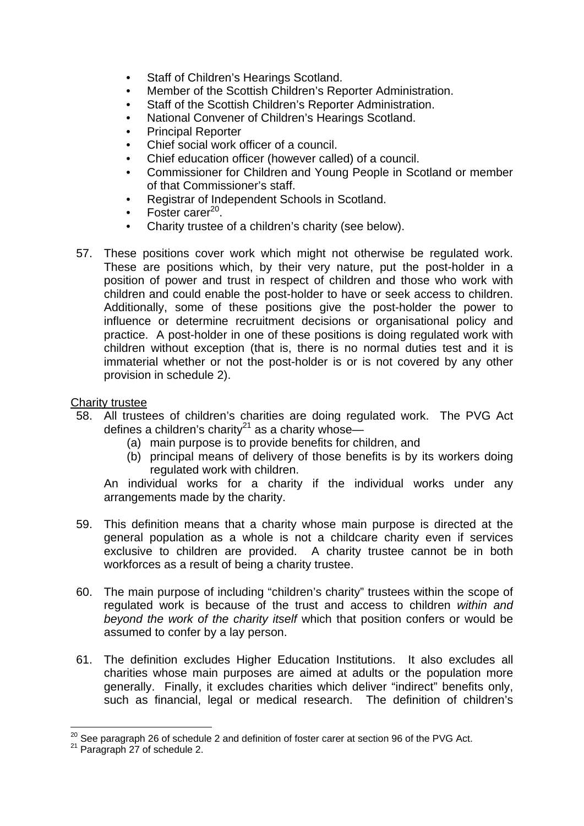- Staff of Children's Hearings Scotland.
- Member of the Scottish Children's Reporter Administration.
- Staff of the Scottish Children's Reporter Administration.
- National Convener of Children's Hearings Scotland.
- Principal Reporter
- Chief social work officer of a council.
- Chief education officer (however called) of a council.
- Commissioner for Children and Young People in Scotland or member of that Commissioner's staff.
- Registrar of Independent Schools in Scotland.
- Foster carer $^{20}$ .
- Charity trustee of a children's charity (see below).
- 57. These positions cover work which might not otherwise be regulated work. These are positions which, by their very nature, put the post-holder in a position of power and trust in respect of children and those who work with children and could enable the post-holder to have or seek access to children. Additionally, some of these positions give the post-holder the power to influence or determine recruitment decisions or organisational policy and practice. A post-holder in one of these positions is doing regulated work with children without exception (that is, there is no normal duties test and it is immaterial whether or not the post-holder is or is not covered by any other provision in schedule 2).

#### Charity trustee

- 58. All trustees of children's charities are doing regulated work. The PVG Act defines a children's charity<sup>21</sup> as a charity whose—
	- (a) main purpose is to provide benefits for children, and
	- (b) principal means of delivery of those benefits is by its workers doing regulated work with children.

An individual works for a charity if the individual works under any arrangements made by the charity.

- 59. This definition means that a charity whose main purpose is directed at the general population as a whole is not a childcare charity even if services exclusive to children are provided. A charity trustee cannot be in both workforces as a result of being a charity trustee.
- 60. The main purpose of including "children's charity" trustees within the scope of regulated work is because of the trust and access to children *within and beyond the work of the charity itself* which that position confers or would be assumed to confer by a lay person.
- 61. The definition excludes Higher Education Institutions. It also excludes all charities whose main purposes are aimed at adults or the population more generally. Finally, it excludes charities which deliver "indirect" benefits only, such as financial, legal or medical research. The definition of children's

<sup>&</sup>lt;u>.</u>  $^{20}$  See paragraph 26 of schedule 2 and definition of foster carer at section 96 of the PVG Act.

<sup>21</sup> Paragraph 27 of schedule 2.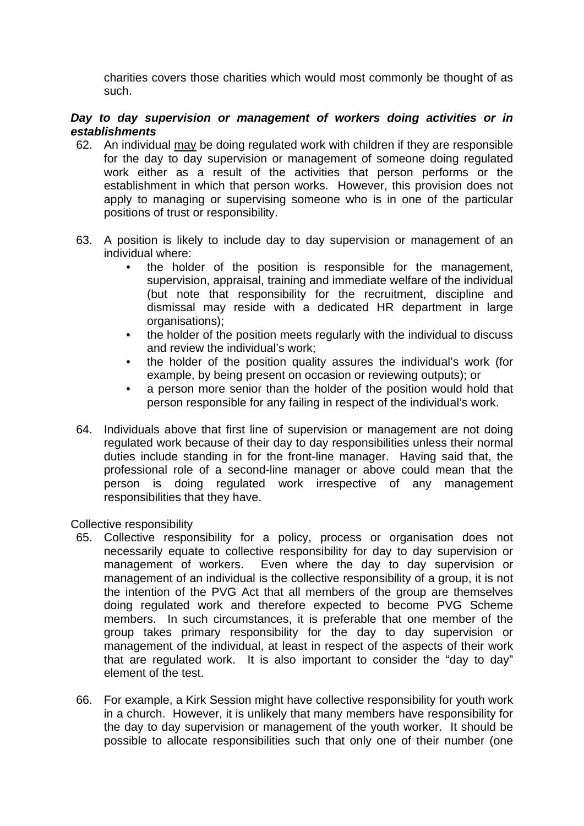charities covers those charities which would most commonly be thought of as such.

#### *Day to day supervision or management of workers doing activities or in establishments*

- 62. An individual may be doing regulated work with children if they are responsible for the day to day supervision or management of someone doing regulated work either as a result of the activities that person performs or the establishment in which that person works. However, this provision does not apply to managing or supervising someone who is in one of the particular positions of trust or responsibility.
- 63. A position is likely to include day to day supervision or management of an individual where:
	- the holder of the position is responsible for the management, supervision, appraisal, training and immediate welfare of the individual (but note that responsibility for the recruitment, discipline and dismissal may reside with a dedicated HR department in large organisations);
	- the holder of the position meets regularly with the individual to discuss and review the individual's work;
	- the holder of the position quality assures the individual's work (for example, by being present on occasion or reviewing outputs); or
	- a person more senior than the holder of the position would hold that person responsible for any failing in respect of the individual's work.
- 64. Individuals above that first line of supervision or management are not doing regulated work because of their day to day responsibilities unless their normal duties include standing in for the front-line manager. Having said that, the professional role of a second-line manager or above could mean that the person is doing regulated work irrespective of any management responsibilities that they have.

Collective responsibility

- 65. Collective responsibility for a policy, process or organisation does not necessarily equate to collective responsibility for day to day supervision or management of workers. Even where the day to day supervision or management of an individual is the collective responsibility of a group, it is not the intention of the PVG Act that all members of the group are themselves doing regulated work and therefore expected to become PVG Scheme members. In such circumstances, it is preferable that one member of the group takes primary responsibility for the day to day supervision or management of the individual, at least in respect of the aspects of their work that are regulated work. It is also important to consider the "day to day" element of the test.
- 66. For example, a Kirk Session might have collective responsibility for youth work in a church. However, it is unlikely that many members have responsibility for the day to day supervision or management of the youth worker. It should be possible to allocate responsibilities such that only one of their number (one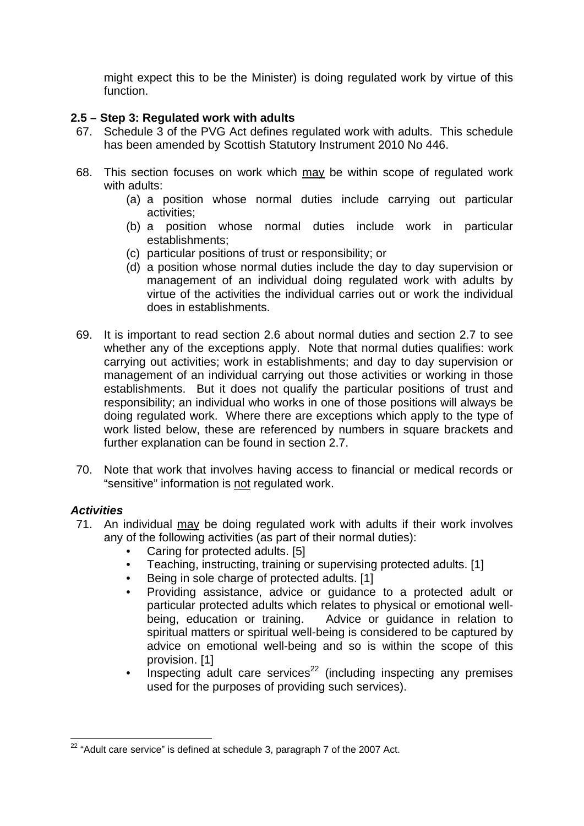might expect this to be the Minister) is doing regulated work by virtue of this function.

### **2.5 – Step 3: Regulated work with adults**

- 67. Schedule 3 of the PVG Act defines regulated work with adults. This schedule has been amended by Scottish Statutory Instrument 2010 No 446.
- 68. This section focuses on work which may be within scope of regulated work with adults:
	- (a) a position whose normal duties include carrying out particular activities;
	- (b) a position whose normal duties include work in particular establishments;
	- (c) particular positions of trust or responsibility; or
	- (d) a position whose normal duties include the day to day supervision or management of an individual doing regulated work with adults by virtue of the activities the individual carries out or work the individual does in establishments.
- 69. It is important to read section 2.6 about normal duties and section 2.7 to see whether any of the exceptions apply. Note that normal duties qualifies: work carrying out activities; work in establishments; and day to day supervision or management of an individual carrying out those activities or working in those establishments. But it does not qualify the particular positions of trust and responsibility; an individual who works in one of those positions will always be doing regulated work. Where there are exceptions which apply to the type of work listed below, these are referenced by numbers in square brackets and further explanation can be found in section 2.7.
- 70. Note that work that involves having access to financial or medical records or "sensitive" information is not regulated work.

## *Activities*

- 71. An individual may be doing regulated work with adults if their work involves any of the following activities (as part of their normal duties):
	- Caring for protected adults. [5]
	- Teaching, instructing, training or supervising protected adults. [1]
	- Being in sole charge of protected adults. [1]
	- Providing assistance, advice or guidance to a protected adult or particular protected adults which relates to physical or emotional wellbeing, education or training. Advice or guidance in relation to spiritual matters or spiritual well-being is considered to be captured by advice on emotional well-being and so is within the scope of this provision. [1]
	- Inspecting adult care services<sup>22</sup> (including inspecting any premises used for the purposes of providing such services).

<sup>1</sup>  $22$  "Adult care service" is defined at schedule 3, paragraph 7 of the 2007 Act.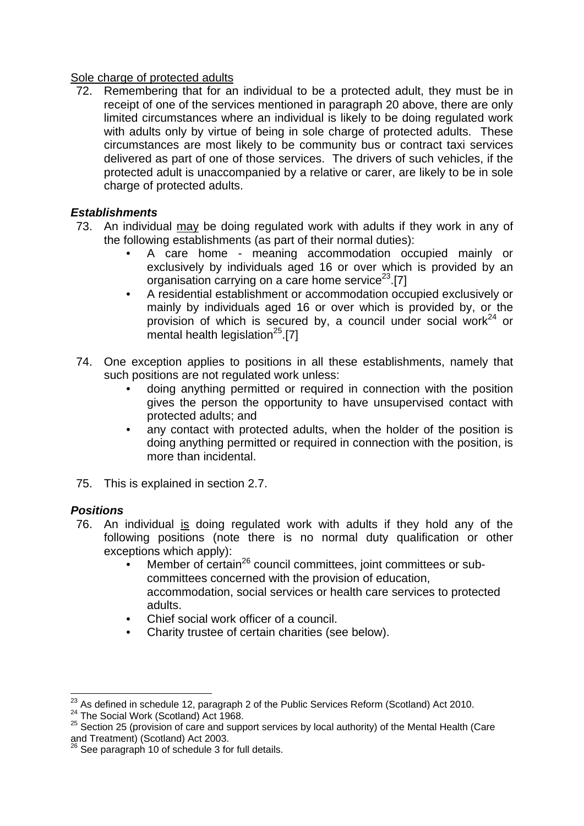#### Sole charge of protected adults

72. Remembering that for an individual to be a protected adult, they must be in receipt of one of the services mentioned in paragraph 20 above, there are only limited circumstances where an individual is likely to be doing regulated work with adults only by virtue of being in sole charge of protected adults. These circumstances are most likely to be community bus or contract taxi services delivered as part of one of those services. The drivers of such vehicles, if the protected adult is unaccompanied by a relative or carer, are likely to be in sole charge of protected adults.

## *Establishments*

- 73. An individual may be doing regulated work with adults if they work in any of the following establishments (as part of their normal duties):
	- A care home meaning accommodation occupied mainly or exclusively by individuals aged 16 or over which is provided by an organisation carrying on a care home service<sup>23</sup>.[7]
	- A residential establishment or accommodation occupied exclusively or mainly by individuals aged 16 or over which is provided by, or the provision of which is secured by, a council under social work<sup>24</sup> or mental health legislation<sup>25</sup>.[7]
- 74. One exception applies to positions in all these establishments, namely that such positions are not regulated work unless:
	- doing anything permitted or required in connection with the position gives the person the opportunity to have unsupervised contact with protected adults; and
	- any contact with protected adults, when the holder of the position is doing anything permitted or required in connection with the position, is more than incidental.
- 75. This is explained in section 2.7.

## *Positions*

- 76. An individual is doing regulated work with adults if they hold any of the following positions (note there is no normal duty qualification or other exceptions which apply):
	- Member of certain<sup>26</sup> council committees, joint committees or subcommittees concerned with the provision of education, accommodation, social services or health care services to protected adults.
	- Chief social work officer of a council.
	- Charity trustee of certain charities (see below).

<sup>&</sup>lt;sup>23</sup> As defined in schedule 12, paragraph 2 of the Public Services Reform (Scotland) Act 2010.

<sup>24</sup> The Social Work (Scotland) Act 1968.<br>
<sup>24</sup> The Social Work (Scotland) Act 1968.<br>
<sup>25</sup> Section 25 (provision of care and support services by local authority) of the Mental Health (Care and Treatment) (Scotland) Act 2003.

<sup>&</sup>lt;sup>26</sup> See paragraph 10 of schedule 3 for full details.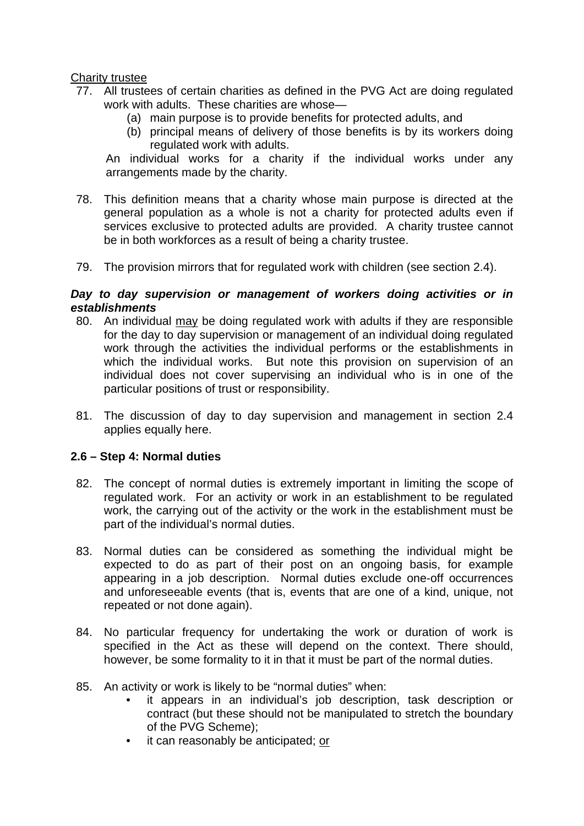#### Charity trustee

- 77. All trustees of certain charities as defined in the PVG Act are doing regulated work with adults. These charities are whose—
	- (a) main purpose is to provide benefits for protected adults, and
	- (b) principal means of delivery of those benefits is by its workers doing regulated work with adults.

An individual works for a charity if the individual works under any arrangements made by the charity.

- 78. This definition means that a charity whose main purpose is directed at the general population as a whole is not a charity for protected adults even if services exclusive to protected adults are provided. A charity trustee cannot be in both workforces as a result of being a charity trustee.
- 79. The provision mirrors that for regulated work with children (see section 2.4).

#### *Day to day supervision or management of workers doing activities or in establishments*

- 80. An individual may be doing regulated work with adults if they are responsible for the day to day supervision or management of an individual doing regulated work through the activities the individual performs or the establishments in which the individual works. But note this provision on supervision of an individual does not cover supervising an individual who is in one of the particular positions of trust or responsibility.
- 81. The discussion of day to day supervision and management in section 2.4 applies equally here.

#### **2.6 – Step 4: Normal duties**

- 82. The concept of normal duties is extremely important in limiting the scope of regulated work. For an activity or work in an establishment to be regulated work, the carrying out of the activity or the work in the establishment must be part of the individual's normal duties.
- 83. Normal duties can be considered as something the individual might be expected to do as part of their post on an ongoing basis, for example appearing in a job description. Normal duties exclude one-off occurrences and unforeseeable events (that is, events that are one of a kind, unique, not repeated or not done again).
- 84. No particular frequency for undertaking the work or duration of work is specified in the Act as these will depend on the context. There should, however, be some formality to it in that it must be part of the normal duties.
- 85. An activity or work is likely to be "normal duties" when:
	- it appears in an individual's job description, task description or contract (but these should not be manipulated to stretch the boundary of the PVG Scheme);
	- it can reasonably be anticipated; or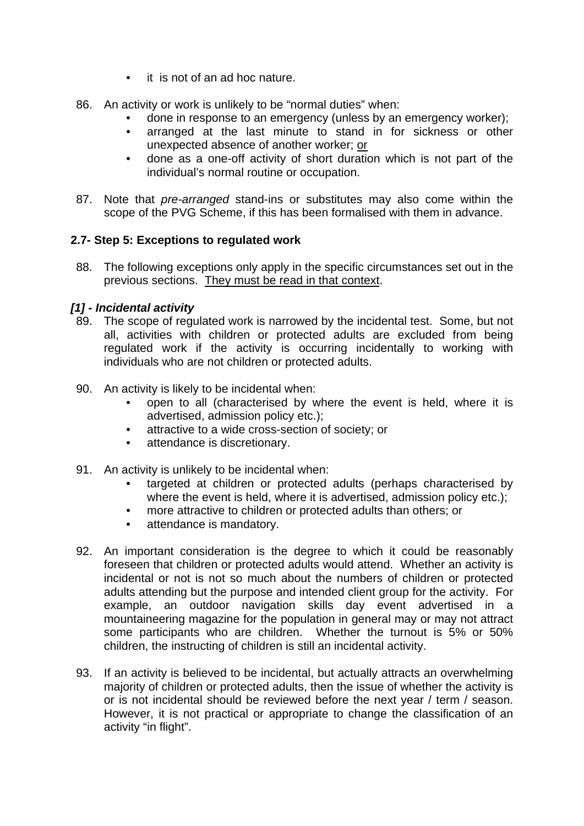- it is not of an ad hoc nature.
- 86. An activity or work is unlikely to be "normal duties" when:
	- done in response to an emergency (unless by an emergency worker);
	- arranged at the last minute to stand in for sickness or other unexpected absence of another worker; or
	- done as a one-off activity of short duration which is not part of the individual's normal routine or occupation.
- 87. Note that *pre-arranged* stand-ins or substitutes may also come within the scope of the PVG Scheme, if this has been formalised with them in advance.

### **2.7- Step 5: Exceptions to regulated work**

88. The following exceptions only apply in the specific circumstances set out in the previous sections. They must be read in that context.

### *[1] - Incidental activity*

- 89. The scope of regulated work is narrowed by the incidental test. Some, but not all, activities with children or protected adults are excluded from being regulated work if the activity is occurring incidentally to working with individuals who are not children or protected adults.
- 90. An activity is likely to be incidental when:
	- open to all (characterised by where the event is held, where it is advertised, admission policy etc.);
	- attractive to a wide cross-section of society; or
	- attendance is discretionary.
- 91. An activity is unlikely to be incidental when:
	- targeted at children or protected adults (perhaps characterised by where the event is held, where it is advertised, admission policy etc.);
	- more attractive to children or protected adults than others; or
	- attendance is mandatory.
- 92. An important consideration is the degree to which it could be reasonably foreseen that children or protected adults would attend. Whether an activity is incidental or not is not so much about the numbers of children or protected adults attending but the purpose and intended client group for the activity. For example, an outdoor navigation skills day event advertised in a mountaineering magazine for the population in general may or may not attract some participants who are children. Whether the turnout is 5% or 50% children, the instructing of children is still an incidental activity.
- 93. If an activity is believed to be incidental, but actually attracts an overwhelming majority of children or protected adults, then the issue of whether the activity is or is not incidental should be reviewed before the next year / term / season. However, it is not practical or appropriate to change the classification of an activity "in flight".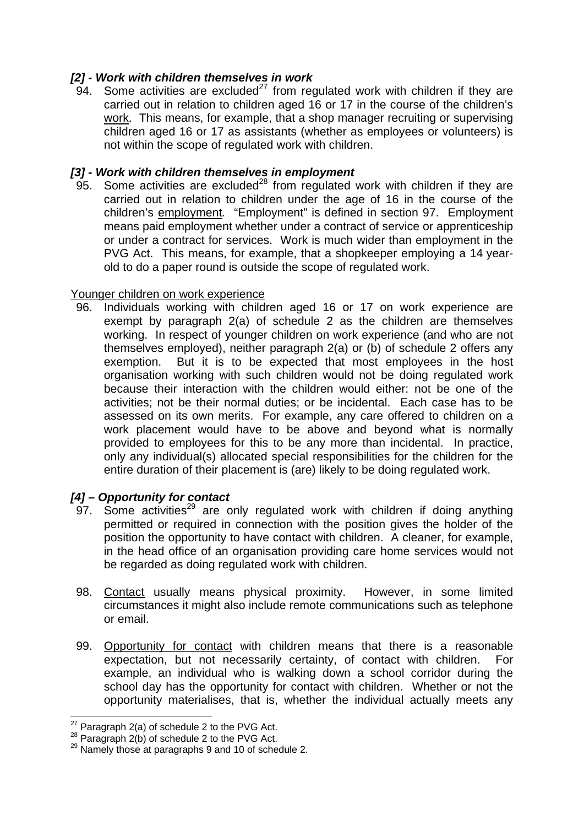## *[2] - Work with children themselves in work*

94. Some activities are excluded<sup>27</sup> from regulated work with children if they are carried out in relation to children aged 16 or 17 in the course of the children's work. This means, for example, that a shop manager recruiting or supervising children aged 16 or 17 as assistants (whether as employees or volunteers) is not within the scope of regulated work with children.

## *[3] - Work with children themselves in employment*

95. Some activities are excluded<sup>28</sup> from regulated work with children if they are carried out in relation to children under the age of 16 in the course of the children's employment*.* "Employment" is defined in section 97. Employment means paid employment whether under a contract of service or apprenticeship or under a contract for services. Work is much wider than employment in the PVG Act. This means, for example, that a shopkeeper employing a 14 yearold to do a paper round is outside the scope of regulated work.

## Younger children on work experience

96. Individuals working with children aged 16 or 17 on work experience are exempt by paragraph 2(a) of schedule 2 as the children are themselves working. In respect of younger children on work experience (and who are not themselves employed), neither paragraph 2(a) or (b) of schedule 2 offers any exemption. But it is to be expected that most employees in the host organisation working with such children would not be doing regulated work because their interaction with the children would either: not be one of the activities; not be their normal duties; or be incidental. Each case has to be assessed on its own merits. For example, any care offered to children on a work placement would have to be above and beyond what is normally provided to employees for this to be any more than incidental. In practice, only any individual(s) allocated special responsibilities for the children for the entire duration of their placement is (are) likely to be doing regulated work.

# *[4] – Opportunity for contact*

- 97. Some activities<sup>29</sup> are only regulated work with children if doing anything permitted or required in connection with the position gives the holder of the position the opportunity to have contact with children. A cleaner, for example, in the head office of an organisation providing care home services would not be regarded as doing regulated work with children.
- 98. Contact usually means physical proximity. However, in some limited circumstances it might also include remote communications such as telephone or email.
- 99. Opportunity for contact with children means that there is a reasonable expectation, but not necessarily certainty, of contact with children. For example, an individual who is walking down a school corridor during the school day has the opportunity for contact with children. Whether or not the opportunity materialises, that is, whether the individual actually meets any

<sup>&</sup>lt;sup>27</sup> Paragraph 2(a) of schedule 2 to the PVG Act.

<sup>&</sup>lt;sup>28</sup> Paragraph 2(b) of schedule 2 to the PVG Act.<br><sup>29</sup> Namely those at paragraphs 9 and 10 of schedule 2.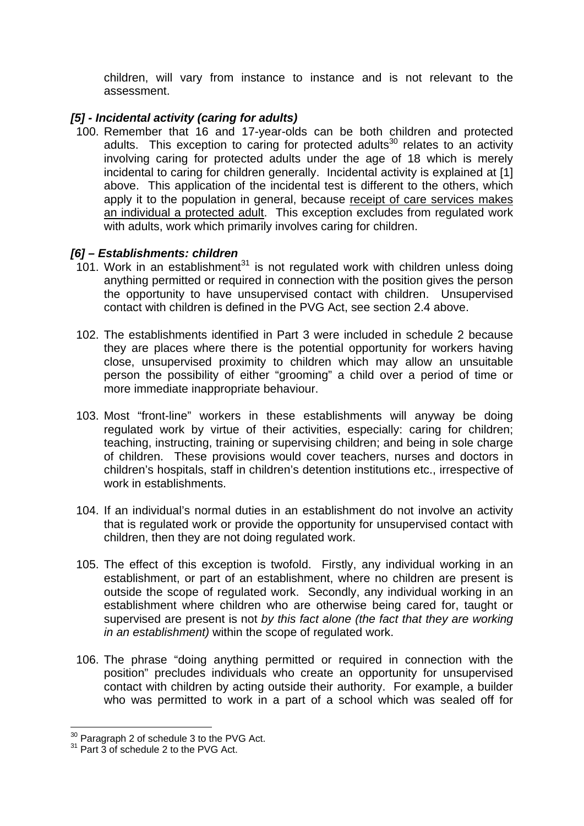children, will vary from instance to instance and is not relevant to the assessment.

### *[5] - Incidental activity (caring for adults)*

100. Remember that 16 and 17-year-olds can be both children and protected adults. This exception to caring for protected adults $30$  relates to an activity involving caring for protected adults under the age of 18 which is merely incidental to caring for children generally. Incidental activity is explained at [1] above. This application of the incidental test is different to the others, which apply it to the population in general, because receipt of care services makes an individual a protected adult. This exception excludes from regulated work with adults, work which primarily involves caring for children.

### *[6] – Establishments: children*

- 101. Work in an establishment<sup>31</sup> is not regulated work with children unless doing anything permitted or required in connection with the position gives the person the opportunity to have unsupervised contact with children. Unsupervised contact with children is defined in the PVG Act, see section 2.4 above.
- 102. The establishments identified in Part 3 were included in schedule 2 because they are places where there is the potential opportunity for workers having close, unsupervised proximity to children which may allow an unsuitable person the possibility of either "grooming" a child over a period of time or more immediate inappropriate behaviour.
- 103. Most "front-line" workers in these establishments will anyway be doing regulated work by virtue of their activities, especially: caring for children; teaching, instructing, training or supervising children; and being in sole charge of children. These provisions would cover teachers, nurses and doctors in children's hospitals, staff in children's detention institutions etc., irrespective of work in establishments.
- 104. If an individual's normal duties in an establishment do not involve an activity that is regulated work or provide the opportunity for unsupervised contact with children, then they are not doing regulated work.
- 105. The effect of this exception is twofold. Firstly, any individual working in an establishment, or part of an establishment, where no children are present is outside the scope of regulated work. Secondly, any individual working in an establishment where children who are otherwise being cared for, taught or supervised are present is not *by this fact alone (the fact that they are working in an establishment)* within the scope of regulated work.
- 106. The phrase "doing anything permitted or required in connection with the position" precludes individuals who create an opportunity for unsupervised contact with children by acting outside their authority. For example, a builder who was permitted to work in a part of a school which was sealed off for

<sup>&</sup>lt;u>.</u>  $30$  Paragraph 2 of schedule 3 to the PVG Act.<br> $31$  Part 3 of schedule 2 to the PVG Act.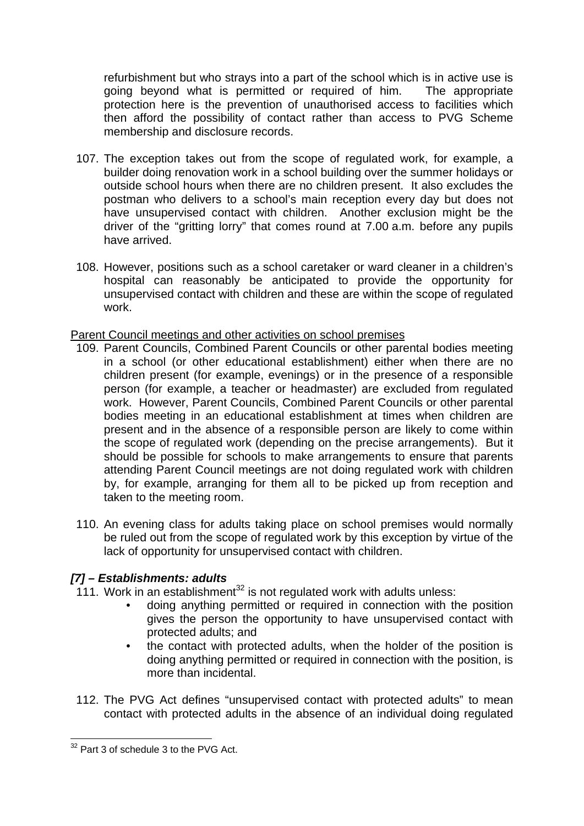refurbishment but who strays into a part of the school which is in active use is going beyond what is permitted or required of him. The appropriate protection here is the prevention of unauthorised access to facilities which then afford the possibility of contact rather than access to PVG Scheme membership and disclosure records.

- 107. The exception takes out from the scope of regulated work, for example, a builder doing renovation work in a school building over the summer holidays or outside school hours when there are no children present. It also excludes the postman who delivers to a school's main reception every day but does not have unsupervised contact with children. Another exclusion might be the driver of the "gritting lorry" that comes round at 7.00 a.m. before any pupils have arrived.
- 108. However, positions such as a school caretaker or ward cleaner in a children's hospital can reasonably be anticipated to provide the opportunity for unsupervised contact with children and these are within the scope of regulated work.

#### Parent Council meetings and other activities on school premises

- 109. Parent Councils, Combined Parent Councils or other parental bodies meeting in a school (or other educational establishment) either when there are no children present (for example, evenings) or in the presence of a responsible person (for example, a teacher or headmaster) are excluded from regulated work. However, Parent Councils, Combined Parent Councils or other parental bodies meeting in an educational establishment at times when children are present and in the absence of a responsible person are likely to come within the scope of regulated work (depending on the precise arrangements). But it should be possible for schools to make arrangements to ensure that parents attending Parent Council meetings are not doing regulated work with children by, for example, arranging for them all to be picked up from reception and taken to the meeting room.
- 110. An evening class for adults taking place on school premises would normally be ruled out from the scope of regulated work by this exception by virtue of the lack of opportunity for unsupervised contact with children.

## *[7] – Establishments: adults*

- 111. Work in an establishment $32$  is not regulated work with adults unless:
	- doing anything permitted or required in connection with the position gives the person the opportunity to have unsupervised contact with protected adults; and
	- the contact with protected adults, when the holder of the position is doing anything permitted or required in connection with the position, is more than incidental.
- 112. The PVG Act defines "unsupervised contact with protected adults" to mean contact with protected adults in the absence of an individual doing regulated

1

 $32$  Part 3 of schedule 3 to the PVG Act.